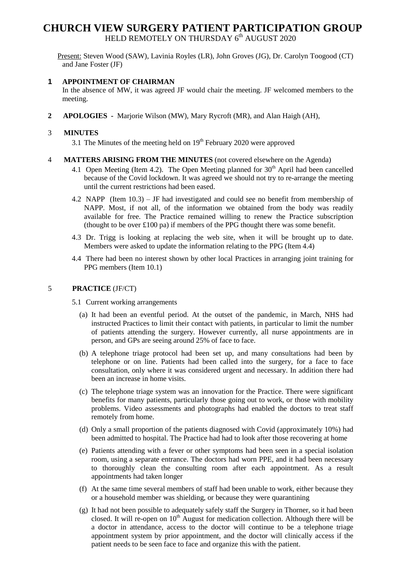# **CHURCH VIEW SURGERY PATIENT PARTICIPATION GROUP**

HELD REMOTELY ON THURSDAY 6<sup>th</sup> AUGUST 2020

Present: Steven Wood (SAW), Lavinia Royles (LR), John Groves (JG), Dr. Carolyn Toogood (CT) and Jane Foster (JF)

## **1 APPOINTMENT OF CHAIRMAN**

In the absence of MW, it was agreed JF would chair the meeting. JF welcomed members to the meeting.

**2 APOLOGIES -** Marjorie Wilson (MW), Mary Rycroft (MR), and Alan Haigh (AH),

## 3 **MINUTES**

3.1 The Minutes of the meeting held on  $19<sup>th</sup>$  February 2020 were approved

### 4 **MATTERS ARISING FROM THE MINUTES** (not covered elsewhere on the Agenda)

- 4.1 Open Meeting (Item 4.2). The Open Meeting planned for  $30<sup>th</sup>$  April had been cancelled because of the Covid lockdown. It was agreed we should not try to re-arrange the meeting until the current restrictions had been eased.
- 4.2 NAPP (Item 10.3) JF had investigated and could see no benefit from membership of NAPP. Most, if not all, of the information we obtained from the body was readily available for free. The Practice remained willing to renew the Practice subscription (thought to be over £100 pa) if members of the PPG thought there was some benefit.
- 4.3 Dr. Trigg is looking at replacing the web site, when it will be brought up to date. Members were asked to update the information relating to the PPG (Item 4.4)
- 4.4 There had been no interest shown by other local Practices in arranging joint training for PPG members (Item 10.1)

### 5 **PRACTICE** (JF/CT)

- 5.1 Current working arrangements
	- (a) It had been an eventful period. At the outset of the pandemic, in March, NHS had instructed Practices to limit their contact with patients, in particular to limit the number of patients attending the surgery. However currently, all nurse appointments are in person, and GPs are seeing around 25% of face to face.
	- (b) A telephone triage protocol had been set up, and many consultations had been by telephone or on line. Patients had been called into the surgery, for a face to face consultation, only where it was considered urgent and necessary. In addition there had been an increase in home visits.
	- (c) The telephone triage system was an innovation for the Practice. There were significant benefits for many patients, particularly those going out to work, or those with mobility problems. Video assessments and photographs had enabled the doctors to treat staff remotely from home.
	- (d) Only a small proportion of the patients diagnosed with Covid (approximately 10%) had been admitted to hospital. The Practice had had to look after those recovering at home
	- (e) Patients attending with a fever or other symptoms had been seen in a special isolation room, using a separate entrance. The doctors had worn PPE, and it had been necessary to thoroughly clean the consulting room after each appointment. As a result appointments had taken longer
	- (f) At the same time several members of staff had been unable to work, either because they or a household member was shielding, or because they were quarantining
	- (g) It had not been possible to adequately safely staff the Surgery in Thorner, so it had been closed. It will re-open on  $10<sup>th</sup>$  August for medication collection. Although there will be a doctor in attendance, access to the doctor will continue to be a telephone triage appointment system by prior appointment, and the doctor will clinically access if the patient needs to be seen face to face and organize this with the patient.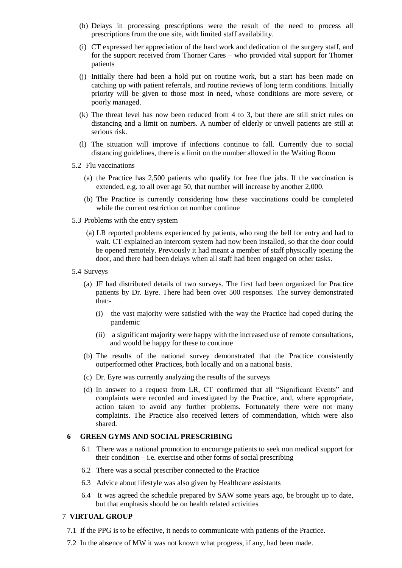- (h) Delays in processing prescriptions were the result of the need to process all prescriptions from the one site, with limited staff availability.
- (i) CT expressed her appreciation of the hard work and dedication of the surgery staff, and for the support received from Thorner Cares – who provided vital support for Thorner patients
- (j) Initially there had been a hold put on routine work, but a start has been made on catching up with patient referrals, and routine reviews of long term conditions. Initially priority will be given to those most in need, whose conditions are more severe, or poorly managed.
- (k) The threat level has now been reduced from 4 to 3, but there are still strict rules on distancing and a limit on numbers. A number of elderly or unwell patients are still at serious risk.
- (l) The situation will improve if infections continue to fall. Currently due to social distancing guidelines, there is a limit on the number allowed in the Waiting Room
- 5.2 Flu vaccinations
	- (a) the Practice has 2,500 patients who qualify for free flue jabs. If the vaccination is extended, e.g. to all over age 50, that number will increase by another 2,000.
	- (b) The Practice is currently considering how these vaccinations could be completed while the current restriction on number continue
- 5.3 Problems with the entry system
	- (a) LR reported problems experienced by patients, who rang the bell for entry and had to wait. CT explained an intercom system had now been installed, so that the door could be opened remotely. Previously it had meant a member of staff physically opening the door, and there had been delays when all staff had been engaged on other tasks.
- 5.4 Surveys
	- (a) JF had distributed details of two surveys. The first had been organized for Practice patients by Dr. Eyre. There had been over 500 responses. The survey demonstrated that:-
		- (i) the vast majority were satisfied with the way the Practice had coped during the pandemic
		- (ii) a significant majority were happy with the increased use of remote consultations, and would be happy for these to continue
	- (b) The results of the national survey demonstrated that the Practice consistently outperformed other Practices, both locally and on a national basis.
	- (c) Dr. Eyre was currently analyzing the results of the surveys
	- (d) In answer to a request from LR, CT confirmed that all "Significant Events" and complaints were recorded and investigated by the Practice, and, where appropriate, action taken to avoid any further problems. Fortunately there were not many complaints. The Practice also received letters of commendation, which were also shared.

### **6 GREEN GYMS AND SOCIAL PRESCRIBING**

- 6.1 There was a national promotion to encourage patients to seek non medical support for their condition – i.e. exercise and other forms of social prescribing
- 6.2 There was a social prescriber connected to the Practice
- 6.3 Advice about lifestyle was also given by Healthcare assistants
- 6.4 It was agreed the schedule prepared by SAW some years ago, be brought up to date, but that emphasis should be on health related activities

#### 7 **VIRTUAL GROUP**

- 7.1 If the PPG is to be effective, it needs to communicate with patients of the Practice.
- 7.2 In the absence of MW it was not known what progress, if any, had been made.